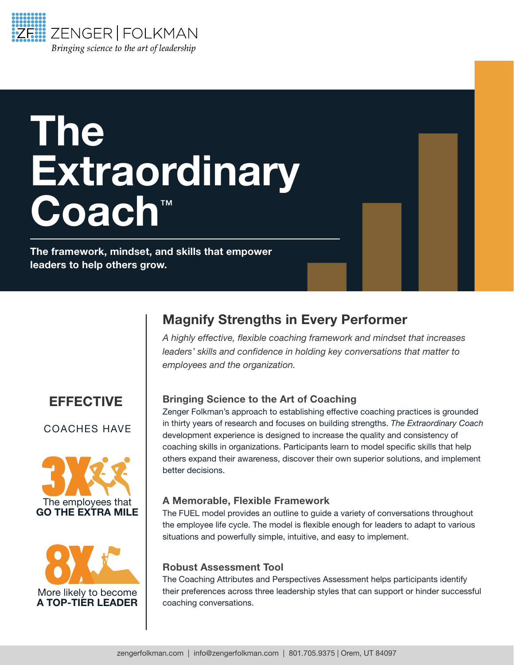

# The **Extraordinary** Coach™

The framework, mindset, and skills that empower leaders to help others grow.

### EFFECTIVE

#### COACHES HAVE





## Magnify Strengths in Every Performer

*A highly effective, flexible coaching framework and mindset that increases leaders' skills and confidence in holding key conversations that matter to employees and the organization.* 

#### Bringing Science to the Art of Coaching

Zenger Folkman's approach to establishing effective coaching practices is grounded in thirty years of research and focuses on building strengths. *The Extraordinary Coach*  development experience is designed to increase the quality and consistency of coaching skills in organizations. Participants learn to model specific skills that help others expand their awareness, discover their own superior solutions, and implement better decisions.

#### A Memorable, Flexible Framework

The FUEL model provides an outline to guide a variety of conversations throughout the employee life cycle. The model is flexible enough for leaders to adapt to various situations and powerfully simple, intuitive, and easy to implement.

#### Robust Assessment Tool

The Coaching Attributes and Perspectives Assessment helps participants identify their preferences across three leadership styles that can support or hinder successful coaching conversations.